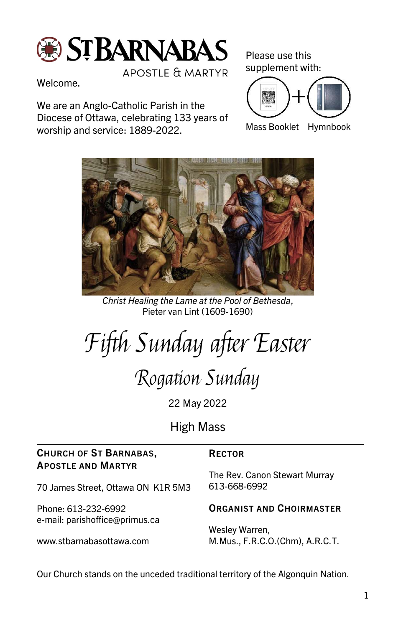

APOSTLE & MARTYR

Welcome.

We are an Anglo-Catholic Parish in the Diocese of Ottawa, celebrating 133 years of worship and service: 1889-2022.

Please use this supplement with:



Mass Booklet Hymnbook



Christ Healing the Lame at the Pool of Bethesda, Pieter van Lint (1609-1690)

Fifth Sunday after Easter

Rogation Sunday

22 May 2022

High Mass

| <b>CHURCH OF ST BARNABAS,</b><br><b>APOSTLE AND MARTYR</b> | <b>RECTOR</b><br>The Rev. Canon Stewart Murray    |
|------------------------------------------------------------|---------------------------------------------------|
| 70 James Street, Ottawa ON K1R 5M3                         | 613-668-6992                                      |
| Phone: 613-232-6992<br>e-mail: parishoffice@primus.ca      | <b>ORGANIST AND CHOIRMASTER</b>                   |
| www.stbarnabasottawa.com                                   | Wesley Warren,<br>M.Mus., F.R.C.O.(Chm), A.R.C.T. |

Our Church stands on the unceded traditional territory of the Algonquin Nation.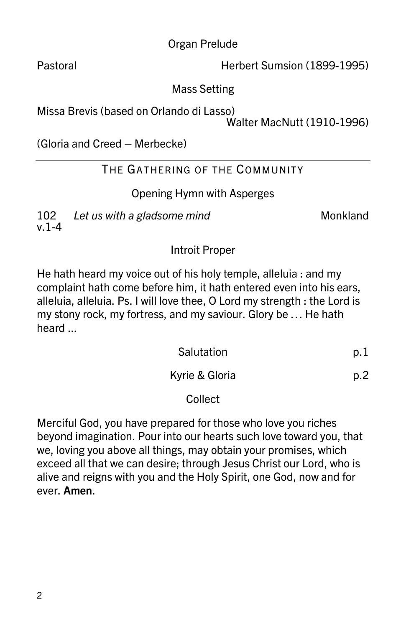Organ Prelude

Pastoral **Herbert Sumsion (1899-1995)** 

Mass Setting

Missa Brevis (based on Orlando di Lasso)

Walter MacNutt (1910-1996)

(Gloria and Creed – Merbecke)

# THE GATHERING OF THE COMMUNITY

## Opening Hymn with Asperges

102 Let us with a gladsome mind v.1-4

Introit Proper

He hath heard my voice out of his holy temple, alleluia : and my complaint hath come before him, it hath entered even into his ears, alleluia, alleluia. Ps. I will love thee, O Lord my strength : the Lord is my stony rock, my fortress, and my saviour. Glory be … He hath heard ...

| Salutation     |     |
|----------------|-----|
| Kyrie & Gloria | p.2 |

### Collect

Merciful God, you have prepared for those who love you riches beyond imagination. Pour into our hearts such love toward you, that we, loving you above all things, may obtain your promises, which exceed all that we can desire; through Jesus Christ our Lord, who is alive and reigns with you and the Holy Spirit, one God, now and for ever. Amen.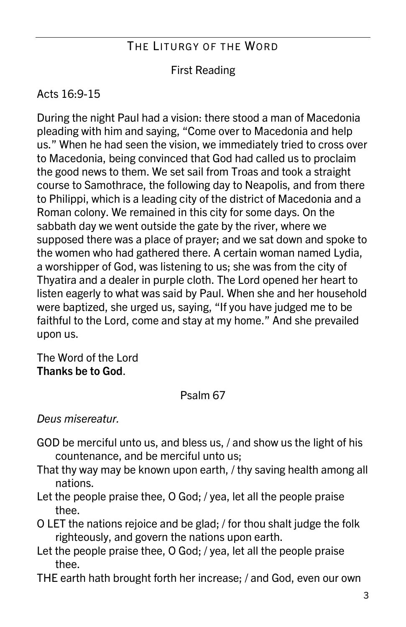# THE LITURGY OF THE WORD

## First Reading

## Acts 16:9-15

During the night Paul had a vision: there stood a man of Macedonia pleading with him and saying, "Come over to Macedonia and help us." When he had seen the vision, we immediately tried to cross over to Macedonia, being convinced that God had called us to proclaim the good news to them. We set sail from Troas and took a straight course to Samothrace, the following day to Neapolis, and from there to Philippi, which is a leading city of the district of Macedonia and a Roman colony. We remained in this city for some days. On the sabbath day we went outside the gate by the river, where we supposed there was a place of prayer; and we sat down and spoke to the women who had gathered there. A certain woman named Lydia, a worshipper of God, was listening to us; she was from the city of Thyatira and a dealer in purple cloth. The Lord opened her heart to listen eagerly to what was said by Paul. When she and her household were baptized, she urged us, saying, "If you have judged me to be faithful to the Lord, come and stay at my home." And she prevailed upon us.

The Word of the Lord Thanks be to God.

### Psalm 67

### Deus misereatur.

- GOD be merciful unto us, and bless us, / and show us the light of his countenance, and be merciful unto us;
- That thy way may be known upon earth, / thy saving health among all nations.
- Let the people praise thee, O God; / yea, let all the people praise thee.
- O LET the nations rejoice and be glad; / for thou shalt judge the folk righteously, and govern the nations upon earth.
- Let the people praise thee, O God; / yea, let all the people praise thee.
- THE earth hath brought forth her increase; / and God, even our own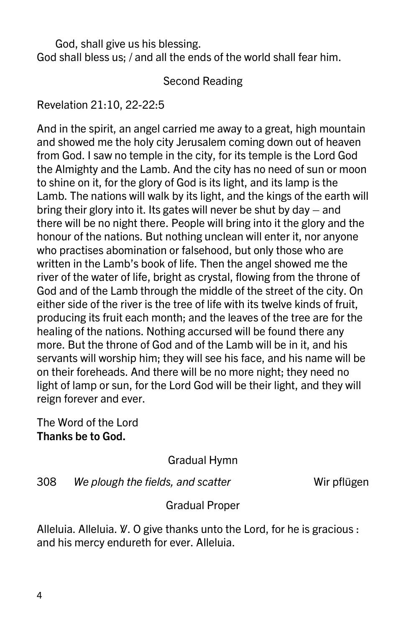God, shall give us his blessing. God shall bless us; / and all the ends of the world shall fear him.

#### Second Reading

Revelation 21:10, 22-22:5

And in the spirit, an angel carried me away to a great, high mountain and showed me the holy city Jerusalem coming down out of heaven from God. I saw no temple in the city, for its temple is the Lord God the Almighty and the Lamb. And the city has no need of sun or moon to shine on it, for the glory of God is its light, and its lamp is the Lamb. The nations will walk by its light, and the kings of the earth will bring their glory into it. Its gates will never be shut by day – and there will be no night there. People will bring into it the glory and the honour of the nations. But nothing unclean will enter it, nor anyone who practises abomination or falsehood, but only those who are written in the Lamb's book of life. Then the angel showed me the river of the water of life, bright as crystal, flowing from the throne of God and of the Lamb through the middle of the street of the city. On either side of the river is the tree of life with its twelve kinds of fruit, producing its fruit each month; and the leaves of the tree are for the healing of the nations. Nothing accursed will be found there any more. But the throne of God and of the Lamb will be in it, and his servants will worship him; they will see his face, and his name will be on their foreheads. And there will be no more night; they need no light of lamp or sun, for the Lord God will be their light, and they will reign forever and ever.

The Word of the Lord Thanks be to God.

Gradual Hymn

308 We plough the fields, and scatter The Wir pflügen

Gradual Proper

Alleluia. Alleluia. *W*. O give thanks unto the Lord, for he is gracious : and his mercy endureth for ever. Alleluia.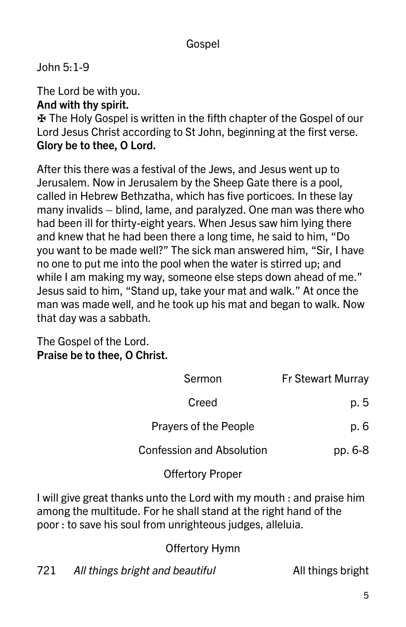## Gospel

John 5:1-9

The Lord be with you.

### And with thy spirit.

✠ The Holy Gospel is written in the fifth chapter of the Gospel of our Lord Jesus Christ according to St John, beginning at the first verse. Glory be to thee, O Lord.

After this there was a festival of the Jews, and Jesus went up to Jerusalem. Now in Jerusalem by the Sheep Gate there is a pool, called in Hebrew Bethzatha, which has five porticoes. In these lay many invalids – blind, lame, and paralyzed. One man was there who had been ill for thirty-eight years. When Jesus saw him lying there and knew that he had been there a long time, he said to him, "Do you want to be made well?" The sick man answered him, "Sir, I have no one to put me into the pool when the water is stirred up; and while I am making my way, someone else steps down ahead of me." Jesus said to him, "Stand up, take your mat and walk." At once the man was made well, and he took up his mat and began to walk. Now that day was a sabbath.

#### The Gospel of the Lord. Praise be to thee, O Christ.

| Sermon                           | <b>Fr Stewart Murray</b> |
|----------------------------------|--------------------------|
| Creed                            | p. 5                     |
| Prayers of the People            | p. 6                     |
| <b>Confession and Absolution</b> | pp. 6-8                  |
| <b>Offertory Proper</b>          |                          |

I will give great thanks unto the Lord with my mouth : and praise him among the multitude. For he shall stand at the right hand of the poor : to save his soul from unrighteous judges, alleluia.

Offertory Hymn

721 All things bright and beautiful The Manus All things bright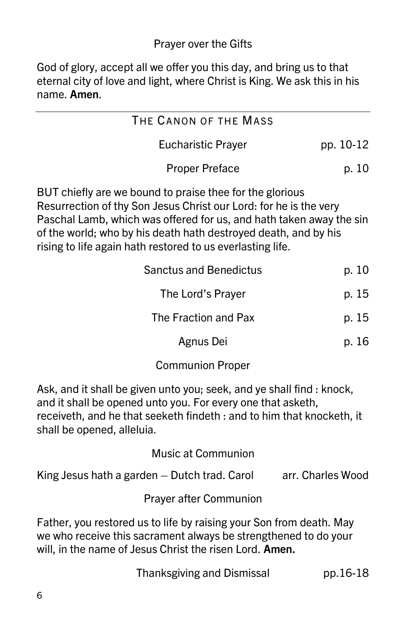God of glory, accept all we offer you this day, and bring us to that eternal city of love and light, where Christ is King. We ask this in his name. Amen.

| THE CANON OF THE MASS     |           |
|---------------------------|-----------|
| <b>Eucharistic Prayer</b> | pp. 10-12 |
| <b>Proper Preface</b>     | p. 10     |

BUT chiefly are we bound to praise thee for the glorious Resurrection of thy Son Jesus Christ our Lord: for he is the very Paschal Lamb, which was offered for us, and hath taken away the sin of the world; who by his death hath destroyed death, and by his rising to life again hath restored to us everlasting life.

| <b>Sanctus and Benedictus</b> | p. 10 |
|-------------------------------|-------|
| The Lord's Prayer             | p. 15 |
| The Fraction and Pax          | p. 15 |
| Agnus Dei                     | p. 16 |

Communion Proper

Ask, and it shall be given unto you; seek, and ye shall find : knock, and it shall be opened unto you. For every one that asketh, receiveth, and he that seeketh findeth : and to him that knocketh, it shall be opened, alleluia.

Music at Communion

| King Jesus hath a garden - Dutch trad. Carol | arr. Charles Wood |
|----------------------------------------------|-------------------|
|----------------------------------------------|-------------------|

Prayer after Communion

Father, you restored us to life by raising your Son from death. May we who receive this sacrament always be strengthened to do your will, in the name of Jesus Christ the risen Lord. Amen.

Thanksgiving and Dismissal pp.16-18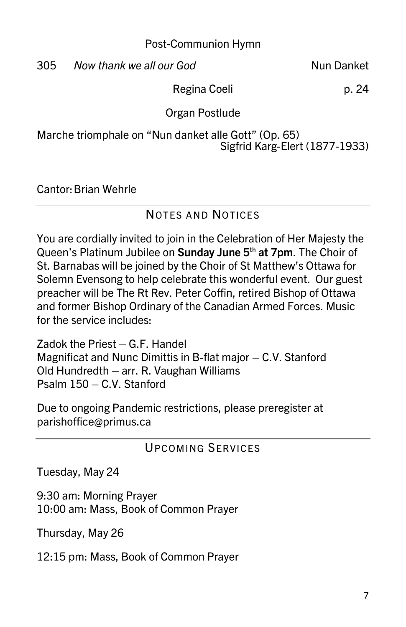Post-Communion Hymn

305 Now thank we all our God Nun Danket

Regina Coeli p. 24

Organ Postlude

Marche triomphale on "Nun danket alle Gott" (Op. 65) Sigfrid Karg-Elert (1877-1933)

Cantor: Brian Wehrle

### NOTES AND NOTICES

You are cordially invited to join in the Celebration of Her Majesty the Queen's Platinum Jubilee on Sunday June 5<sup>th</sup> at 7pm. The Choir of St. Barnabas will be joined by the Choir of St Matthew's Ottawa for Solemn Evensong to help celebrate this wonderful event. Our guest preacher will be The Rt Rev. Peter Coffin, retired Bishop of Ottawa and former Bishop Ordinary of the Canadian Armed Forces. Music for the service includes:

Zadok the Priest – G.F. Handel Magnificat and Nunc Dimittis in B-flat major – C.V. Stanford Old Hundredth – arr. R. Vaughan Williams Psalm 150 – C.V. Stanford

Due to ongoing Pandemic restrictions, please preregister at parishoffice@primus.ca

### **UPCOMING SERVICES**

Tuesday, May 24

9:30 am: Morning Prayer 10:00 am: Mass, Book of Common Prayer

Thursday, May 26

12:15 pm: Mass, Book of Common Prayer